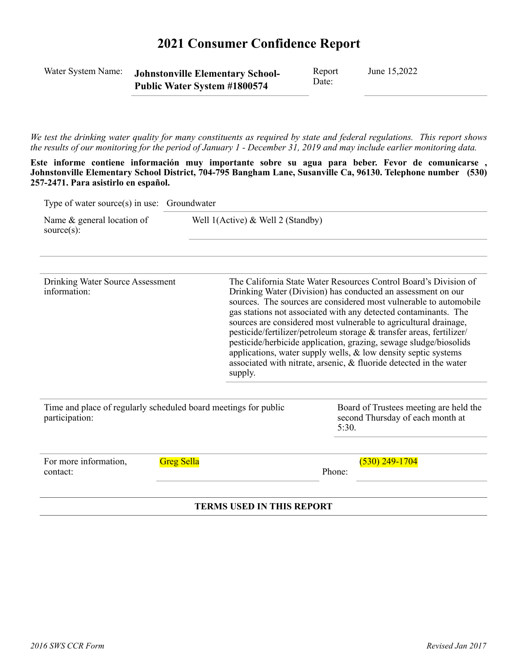# **2021 Consumer Confidence Report**

| Water System Name:                                                                                                                                                                                                                                 |                   | Report<br><b>Johnstonville Elementary School-</b><br>Date:<br>Public Water System #1800574                                                                                                                                                                                                                                                                                                                                                                                                                                                                                                                                                      |        | June 15,2022                                                                                                                                                                                                      |  |  |
|----------------------------------------------------------------------------------------------------------------------------------------------------------------------------------------------------------------------------------------------------|-------------------|-------------------------------------------------------------------------------------------------------------------------------------------------------------------------------------------------------------------------------------------------------------------------------------------------------------------------------------------------------------------------------------------------------------------------------------------------------------------------------------------------------------------------------------------------------------------------------------------------------------------------------------------------|--------|-------------------------------------------------------------------------------------------------------------------------------------------------------------------------------------------------------------------|--|--|
| We test the drinking water quality for many constituents as required by state and federal regulations. This report shows<br>the results of our monitoring for the period of January 1 - December 31, 2019 and may include earlier monitoring data. |                   |                                                                                                                                                                                                                                                                                                                                                                                                                                                                                                                                                                                                                                                 |        |                                                                                                                                                                                                                   |  |  |
| 257-2471. Para asistirlo en español.                                                                                                                                                                                                               |                   |                                                                                                                                                                                                                                                                                                                                                                                                                                                                                                                                                                                                                                                 |        | , Este informe contiene información muy importante sobre su agua para beber. Fevor de comunicarse<br>Johnstonville Elementary School District, 704-795 Bangham Lane, Susanville Ca, 96130. Telephone number (530) |  |  |
| Type of water source(s) in use: Groundwater                                                                                                                                                                                                        |                   |                                                                                                                                                                                                                                                                                                                                                                                                                                                                                                                                                                                                                                                 |        |                                                                                                                                                                                                                   |  |  |
| Name & general location of<br>source $(s)$ :                                                                                                                                                                                                       |                   | Well $1(Active)$ & Well 2 (Standby)                                                                                                                                                                                                                                                                                                                                                                                                                                                                                                                                                                                                             |        |                                                                                                                                                                                                                   |  |  |
| Drinking Water Source Assessment<br>information:                                                                                                                                                                                                   |                   | The California State Water Resources Control Board's Division of<br>Drinking Water (Division) has conducted an assessment on our<br>sources. The sources are considered most vulnerable to automobile<br>gas stations not associated with any detected contaminants. The<br>sources are considered most vulnerable to agricultural drainage,<br>pesticide/fertilizer/petroleum storage & transfer areas, fertilizer/<br>pesticide/herbicide application, grazing, sewage sludge/biosolids<br>applications, water supply wells, $\&$ low density septic systems<br>associated with nitrate, arsenic, & fluoride detected in the water<br>supply. |        |                                                                                                                                                                                                                   |  |  |
| Time and place of regularly scheduled board meetings for public<br>participation:                                                                                                                                                                  |                   |                                                                                                                                                                                                                                                                                                                                                                                                                                                                                                                                                                                                                                                 | 5:30.  | Board of Trustees meeting are held the<br>second Thursday of each month at                                                                                                                                        |  |  |
| For more information,                                                                                                                                                                                                                              | <b>Greg Sella</b> |                                                                                                                                                                                                                                                                                                                                                                                                                                                                                                                                                                                                                                                 | Phone: | $(530)$ 249-1704                                                                                                                                                                                                  |  |  |

#### **TERMS USED IN THIS REPORT**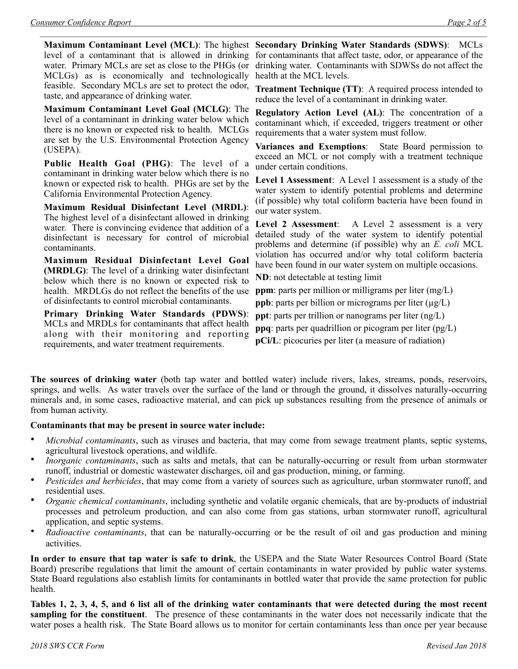level of a contaminant that is allowed in drinking water. Primary MCLs are set as close to the PHGs (or MCLGs) as is economically and technologically feasible. Secondary MCLs are set to protect the odor, taste, and appearance of drinking water.

**Maximum Contaminant Level Goal (MCLG)**: The level of a contaminant in drinking water below which there is no known or expected risk to health. MCLGs are set by the U.S. Environmental Protection Agency (USEPA).

**Public Health Goal (PHG)**: The level of a contaminant in drinking water below which there is no known or expected risk to health. PHGs are set by the California Environmental Protection Agency.

**Maximum Residual Disinfectant Level (MRDL)**: The highest level of a disinfectant allowed in drinking water. There is convincing evidence that addition of a disinfectant is necessary for control of microbial contaminants.

**Maximum Residual Disinfectant Level Goal (MRDLG)**: The level of a drinking water disinfectant below which there is no known or expected risk to health. MRDLGs do not reflect the benefits of the use of disinfectants to control microbial contaminants.

**Primary Drinking Water Standards (PDWS)**: MCLs and MRDLs for contaminants that affect health along with their monitoring and reporting requirements, and water treatment requirements.

**Maximum Contaminant Level (MCL)**: The highest **Secondary Drinking Water Standards (SDWS)**:MCLs for contaminants that affect taste, odor, or appearance of the drinking water. Contaminants with SDWSs do not affect the health at the MCL levels.

> **Treatment Technique (TT)**: A required process intended to reduce the level of a contaminant in drinking water.

> **Regulatory Action Level (AL)**: The concentration of a contaminant which, if exceeded, triggers treatment or other requirements that a water system must follow.

> **Variances and Exemptions**: State Board permission to exceed an MCL or not comply with a treatment technique under certain conditions.

> **Level 1 Assessment**: A Level 1 assessment is a study of the water system to identify potential problems and determine (if possible) why total coliform bacteria have been found in our water system.

> **Level 2 Assessment**: A Level 2 assessment is a very detailed study of the water system to identify potential problems and determine (if possible) why an *E. coli* MCL violation has occurred and/or why total coliform bacteria have been found in our water system on multiple occasions.

**ND**: not detectable at testing limit

**ppm**: parts per million or milligrams per liter (mg/L)

**ppb**: parts per billion or micrograms per liter  $(\mu g/L)$ 

**ppt**: parts per trillion or nanograms per liter (ng/L)

**ppq**: parts per quadrillion or picogram per liter (pg/L)

**pCi/L**: picocuries per liter (a measure of radiation)

**The sources of drinking water** (both tap water and bottled water) include rivers, lakes, streams, ponds, reservoirs, springs, and wells. As water travels over the surface of the land or through the ground, it dissolves naturally-occurring minerals and, in some cases, radioactive material, and can pick up substances resulting from the presence of animals or from human activity.

#### **Contaminants that may be present in source water include:**

- *Microbial contaminants*, such as viruses and bacteria, that may come from sewage treatment plants, septic systems, agricultural livestock operations, and wildlife.
- *Inorganic contaminants*, such as salts and metals, that can be naturally-occurring or result from urban stormwater runoff, industrial or domestic wastewater discharges, oil and gas production, mining, or farming.
- *Pesticides and herbicides*, that may come from a variety of sources such as agriculture, urban stormwater runoff, and residential uses.
- *Organic chemical contaminants*, including synthetic and volatile organic chemicals, that are by-products of industrial processes and petroleum production, and can also come from gas stations, urban stormwater runoff, agricultural application, and septic systems.
- *Radioactive contaminants*, that can be naturally-occurring or be the result of oil and gas production and mining activities.

**In order to ensure that tap water is safe to drink**, the USEPA and the State Water Resources Control Board (State Board) prescribe regulations that limit the amount of certain contaminants in water provided by public water systems. State Board regulations also establish limits for contaminants in bottled water that provide the same protection for public health.

**Tables 1, 2, 3, 4, 5, and 6 list all of the drinking water contaminants that were detected during the most recent sampling for the constituent**. The presence of these contaminants in the water does not necessarily indicate that the water poses a health risk. The State Board allows us to monitor for certain contaminants less than once per year because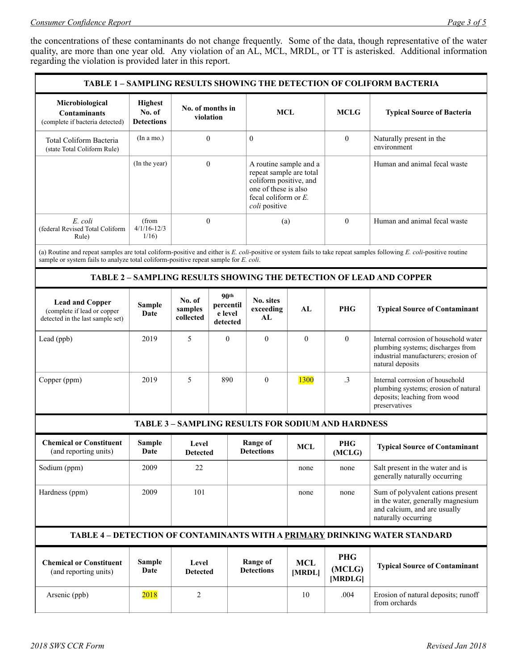the concentrations of these contaminants do not change frequently. Some of the data, though representative of the water quality, are more than one year old. Any violation of an AL, MCL, MRDL, or TT is asterisked. Additional information regarding the violation is provided later in this report.

| TABLE 1 – SAMPLING RESULTS SHOWING THE DETECTION OF COLIFORM BACTERIA                     |                                               |                                |                                                           |                                                                                                                                                 |                      |                          |                                                                                                                                                                     |
|-------------------------------------------------------------------------------------------|-----------------------------------------------|--------------------------------|-----------------------------------------------------------|-------------------------------------------------------------------------------------------------------------------------------------------------|----------------------|--------------------------|---------------------------------------------------------------------------------------------------------------------------------------------------------------------|
| Microbiological<br><b>Contaminants</b><br>(complete if bacteria detected)                 | <b>Highest</b><br>No. of<br><b>Detections</b> | No. of months in<br>violation  |                                                           | <b>MCL</b>                                                                                                                                      |                      | MCLG                     | <b>Typical Source of Bacteria</b>                                                                                                                                   |
| Total Coliform Bacteria<br>(state Total Coliform Rule)                                    | (In a mo.)                                    | $\mathbf{0}$                   |                                                           | $\mathbf{0}$                                                                                                                                    |                      | $\mathbf{0}$             | Naturally present in the<br>environment                                                                                                                             |
|                                                                                           | (In the year)                                 | $\mathbf{0}$                   |                                                           | A routine sample and a<br>repeat sample are total<br>coliform positive, and<br>one of these is also<br>fecal coliform or $E$ .<br>coli positive |                      |                          | Human and animal fecal waste                                                                                                                                        |
| E. coli<br>(federal Revised Total Coliform<br>Rule)                                       | (from<br>$4/1/16 - 12/3$<br>1/16              | $\mathbf{0}$                   |                                                           | (a)                                                                                                                                             |                      | $\theta$                 | Human and animal fecal waste                                                                                                                                        |
| sample or system fails to analyze total coliform-positive repeat sample for E. coli.      |                                               |                                |                                                           |                                                                                                                                                 |                      |                          | (a) Routine and repeat samples are total coliform-positive and either is E. coli-positive or system fails to take repeat samples following E. coli-positive routine |
|                                                                                           |                                               |                                |                                                           |                                                                                                                                                 |                      |                          | <b>TABLE 2 - SAMPLING RESULTS SHOWING THE DETECTION OF LEAD AND COPPER</b>                                                                                          |
| <b>Lead and Copper</b><br>(complete if lead or copper<br>detected in the last sample set) | <b>Sample</b><br>Date                         | No. of<br>samples<br>collected | 90 <sup>th</sup><br>percentil<br>e level<br>detected      | No. sites<br>exceeding<br>AL                                                                                                                    | AL                   | <b>PHG</b>               | <b>Typical Source of Contaminant</b>                                                                                                                                |
| Lead (ppb)                                                                                | 2019                                          | 5                              | $\theta$                                                  | $\mathbf{0}$                                                                                                                                    | $\theta$             | $\mathbf{0}$             | Internal corrosion of household water<br>plumbing systems; discharges from<br>industrial manufacturers; erosion of<br>natural deposits                              |
| Copper (ppm)                                                                              | 2019                                          | 5                              | 890                                                       | $\overline{0}$                                                                                                                                  | 1300                 | .3                       | Internal corrosion of household<br>plumbing systems; erosion of natural<br>deposits; leaching from wood<br>preservatives                                            |
| <b>TABLE 3 - SAMPLING RESULTS FOR SODIUM AND HARDNESS</b>                                 |                                               |                                |                                                           |                                                                                                                                                 |                      |                          |                                                                                                                                                                     |
| <b>Chemical or Constituent</b><br>(and reporting units)                                   | Sample<br>Date                                |                                | Range of<br>Level<br><b>Detections</b><br><b>Detected</b> |                                                                                                                                                 | <b>MCL</b>           | PHG<br>(MCLG)            | <b>Typical Source of Contaminant</b>                                                                                                                                |
| Sodium (ppm)                                                                              | 2009                                          | 22                             |                                                           |                                                                                                                                                 | none                 | none                     | Salt present in the water and is<br>generally naturally occurring                                                                                                   |
| Hardness (ppm)                                                                            | 2009                                          | 101                            |                                                           |                                                                                                                                                 | none                 | none                     | Sum of polyvalent cations present<br>in the water, generally magnesium<br>and calcium, and are usually<br>naturally occurring                                       |
| TABLE 4 - DETECTION OF CONTAMINANTS WITH A PRIMARY DRINKING WATER STANDARD                |                                               |                                |                                                           |                                                                                                                                                 |                      |                          |                                                                                                                                                                     |
| <b>Chemical or Constituent</b><br>(and reporting units)                                   | <b>Sample</b><br>Date                         | Level<br><b>Detected</b>       |                                                           | <b>Range of</b><br><b>Detections</b>                                                                                                            | <b>MCL</b><br>[MRDL] | PHG<br>(MCLG)<br>[MRDLG] | <b>Typical Source of Contaminant</b>                                                                                                                                |
| Arsenic (ppb)                                                                             | 2018                                          | $\overline{2}$                 |                                                           |                                                                                                                                                 | 10                   | .004                     | Erosion of natural deposits; runoff<br>from orchards                                                                                                                |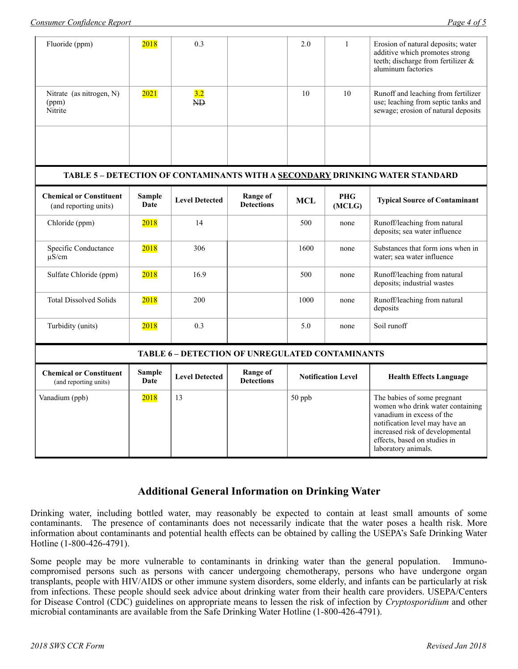| Fluoride (ppm)                                          | 2018           | 0.3                                             |                                      | 2.0                       | $\mathbf{1}$         | Erosion of natural deposits; water<br>additive which promotes strong<br>teeth; discharge from fertilizer &<br>aluminum factories                                                                                         |
|---------------------------------------------------------|----------------|-------------------------------------------------|--------------------------------------|---------------------------|----------------------|--------------------------------------------------------------------------------------------------------------------------------------------------------------------------------------------------------------------------|
| Nitrate (as nitrogen, N)<br>(ppm)<br>Nitrite            | 2021           | 3.2<br>NĐ.                                      |                                      | 10                        | 10                   | Runoff and leaching from fertilizer<br>use; leaching from septic tanks and<br>sewage; erosion of natural deposits                                                                                                        |
|                                                         |                |                                                 |                                      |                           |                      |                                                                                                                                                                                                                          |
|                                                         |                |                                                 |                                      |                           |                      | TABLE 5 - DETECTION OF CONTAMINANTS WITH A SECONDARY DRINKING WATER STANDARD                                                                                                                                             |
| <b>Chemical or Constituent</b><br>(and reporting units) | Sample<br>Date | <b>Level Detected</b>                           | <b>Range of</b><br><b>Detections</b> | <b>MCL</b>                | <b>PHG</b><br>(MCLG) | <b>Typical Source of Contaminant</b>                                                                                                                                                                                     |
| Chloride (ppm)                                          | 2018           | 14                                              |                                      | 500                       | none                 | Runoff/leaching from natural<br>deposits; sea water influence                                                                                                                                                            |
| Specific Conductance<br>$\mu$ S/cm                      | 2018           | 306                                             |                                      | 1600                      | none                 | Substances that form ions when in<br>water; sea water influence                                                                                                                                                          |
| Sulfate Chloride (ppm)                                  | 2018           | 16.9                                            |                                      | 500                       | none                 | Runoff/leaching from natural<br>deposits; industrial wastes                                                                                                                                                              |
| <b>Total Dissolved Solids</b>                           | 2018           | 200                                             |                                      | 1000                      | none                 | Runoff/leaching from natural<br>deposits                                                                                                                                                                                 |
| Turbidity (units)                                       | 2018           | 0.3                                             |                                      | 5.0                       | none                 | Soil runoff                                                                                                                                                                                                              |
|                                                         |                | TABLE 6 - DETECTION OF UNREGULATED CONTAMINANTS |                                      |                           |                      |                                                                                                                                                                                                                          |
| <b>Chemical or Constituent</b><br>(and reporting units) | Sample<br>Date | <b>Level Detected</b>                           | <b>Range of</b><br><b>Detections</b> | <b>Notification Level</b> |                      | <b>Health Effects Language</b>                                                                                                                                                                                           |
| Vanadium (ppb)                                          | 2018           | 13                                              |                                      | 50 ppb                    |                      | The babies of some pregnant<br>women who drink water containing<br>vanadium in excess of the<br>notification level may have an<br>increased risk of developmental<br>effects, based on studies in<br>laboratory animals. |

### **Additional General Information on Drinking Water**

Drinking water, including bottled water, may reasonably be expected to contain at least small amounts of some contaminants. The presence of contaminants does not necessarily indicate that the water poses a health risk. More information about contaminants and potential health effects can be obtained by calling the USEPA's Safe Drinking Water Hotline (1-800-426-4791).

Some people may be more vulnerable to contaminants in drinking water than the general population. Immunocompromised persons such as persons with cancer undergoing chemotherapy, persons who have undergone organ transplants, people with HIV/AIDS or other immune system disorders, some elderly, and infants can be particularly at risk from infections. These people should seek advice about drinking water from their health care providers. USEPA/Centers for Disease Control (CDC) guidelines on appropriate means to lessen the risk of infection by *Cryptosporidium* and other microbial contaminants are available from the Safe Drinking Water Hotline (1-800-426-4791).